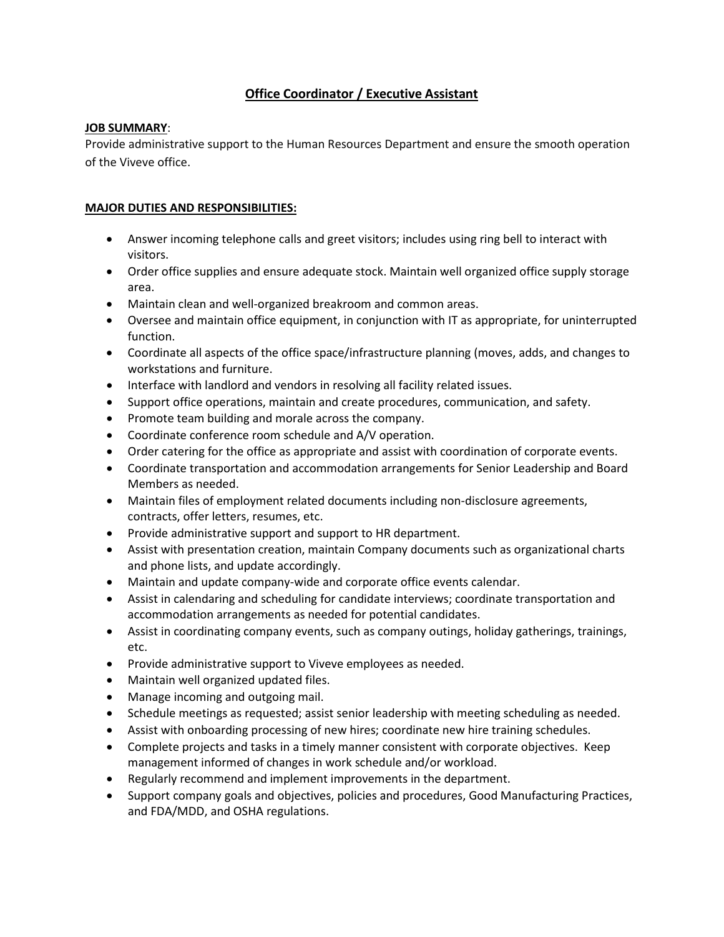# **Office Coordinator / Executive Assistant**

## **JOB SUMMARY**:

Provide administrative support to the Human Resources Department and ensure the smooth operation of the Viveve office.

# **MAJOR DUTIES AND RESPONSIBILITIES:**

- Answer incoming telephone calls and greet visitors; includes using ring bell to interact with visitors.
- Order office supplies and ensure adequate stock. Maintain well organized office supply storage area.
- Maintain clean and well-organized breakroom and common areas.
- Oversee and maintain office equipment, in conjunction with IT as appropriate, for uninterrupted function.
- Coordinate all aspects of the office space/infrastructure planning (moves, adds, and changes to workstations and furniture.
- Interface with landlord and vendors in resolving all facility related issues.
- Support office operations, maintain and create procedures, communication, and safety.
- Promote team building and morale across the company.
- Coordinate conference room schedule and A/V operation.
- Order catering for the office as appropriate and assist with coordination of corporate events.
- Coordinate transportation and accommodation arrangements for Senior Leadership and Board Members as needed.
- Maintain files of employment related documents including non-disclosure agreements, contracts, offer letters, resumes, etc.
- Provide administrative support and support to HR department.
- Assist with presentation creation, maintain Company documents such as organizational charts and phone lists, and update accordingly.
- Maintain and update company-wide and corporate office events calendar.
- Assist in calendaring and scheduling for candidate interviews; coordinate transportation and accommodation arrangements as needed for potential candidates.
- Assist in coordinating company events, such as company outings, holiday gatherings, trainings, etc.
- Provide administrative support to Viveve employees as needed.
- Maintain well organized updated files.
- Manage incoming and outgoing mail.
- Schedule meetings as requested; assist senior leadership with meeting scheduling as needed.
- Assist with onboarding processing of new hires; coordinate new hire training schedules.
- Complete projects and tasks in a timely manner consistent with corporate objectives. Keep management informed of changes in work schedule and/or workload.
- Regularly recommend and implement improvements in the department.
- Support company goals and objectives, policies and procedures, Good Manufacturing Practices, and FDA/MDD, and OSHA regulations.